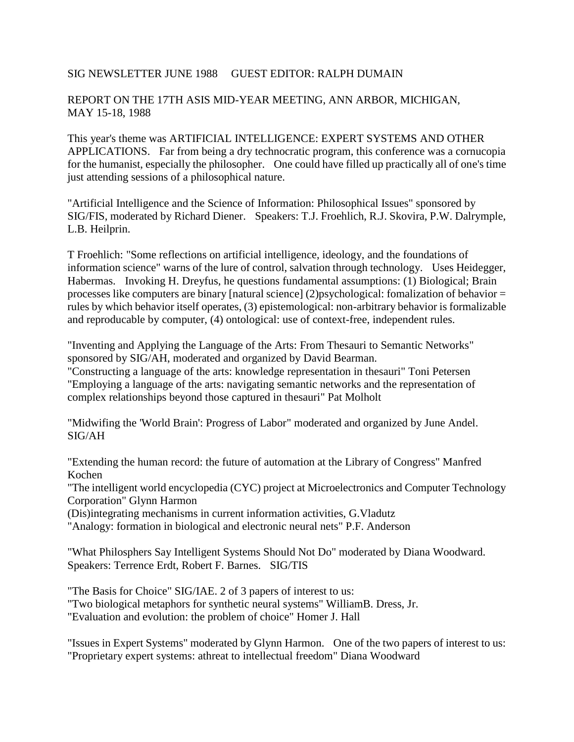## SIG NEWSLETTER JUNE 1988 GUEST EDITOR: RALPH DUMAIN

## REPORT ON THE 17TH ASIS MID-YEAR MEETING, ANN ARBOR, MICHIGAN, MAY 15-18, 1988

This year's theme was ARTIFICIAL INTELLIGENCE: EXPERT SYSTEMS AND OTHER APPLICATIONS. Far from being a dry technocratic program, this conference was a cornucopia for the humanist, especially the philosopher. One could have filled up practically all of one's time just attending sessions of a philosophical nature.

"Artificial Intelligence and the Science of Information: Philosophical Issues" sponsored by SIG/FIS, moderated by Richard Diener. Speakers: T.J. Froehlich, R.J. Skovira, P.W. Dalrymple, L.B. Heilprin.

T Froehlich: "Some reflections on artificial intelligence, ideology, and the foundations of information science" warns of the lure of control, salvation through technology. Uses Heidegger, Habermas. Invoking H. Dreyfus, he questions fundamental assumptions: (1) Biological; Brain processes like computers are binary [natural science] (2)psychological: fomalization of behavior = rules by which behavior itself operates, (3) epistemological: non-arbitrary behavior is formalizable and reproducable by computer, (4) ontological: use of context-free, independent rules.

"Inventing and Applying the Language of the Arts: From Thesauri to Semantic Networks" sponsored by SIG/AH, moderated and organized by David Bearman.

"Constructing a language of the arts: knowledge representation in thesauri" Toni Petersen "Employing a language of the arts: navigating semantic networks and the representation of complex relationships beyond those captured in thesauri" Pat Molholt

"Midwifing the 'World Brain': Progress of Labor" moderated and organized by June Andel. SIG/AH

"Extending the human record: the future of automation at the Library of Congress" Manfred Kochen

"The intelligent world encyclopedia (CYC) project at Microelectronics and Computer Technology Corporation" Glynn Harmon

(Dis)integrating mechanisms in current information activities, G.Vladutz

"Analogy: formation in biological and electronic neural nets" P.F. Anderson

"What Philosphers Say Intelligent Systems Should Not Do" moderated by Diana Woodward. Speakers: Terrence Erdt, Robert F. Barnes. SIG/TIS

"The Basis for Choice" SIG/IAE. 2 of 3 papers of interest to us:

"Two biological metaphors for synthetic neural systems" WilliamB. Dress, Jr.

"Evaluation and evolution: the problem of choice" Homer J. Hall

"Issues in Expert Systems" moderated by Glynn Harmon. One of the two papers of interest to us: "Proprietary expert systems: athreat to intellectual freedom" Diana Woodward